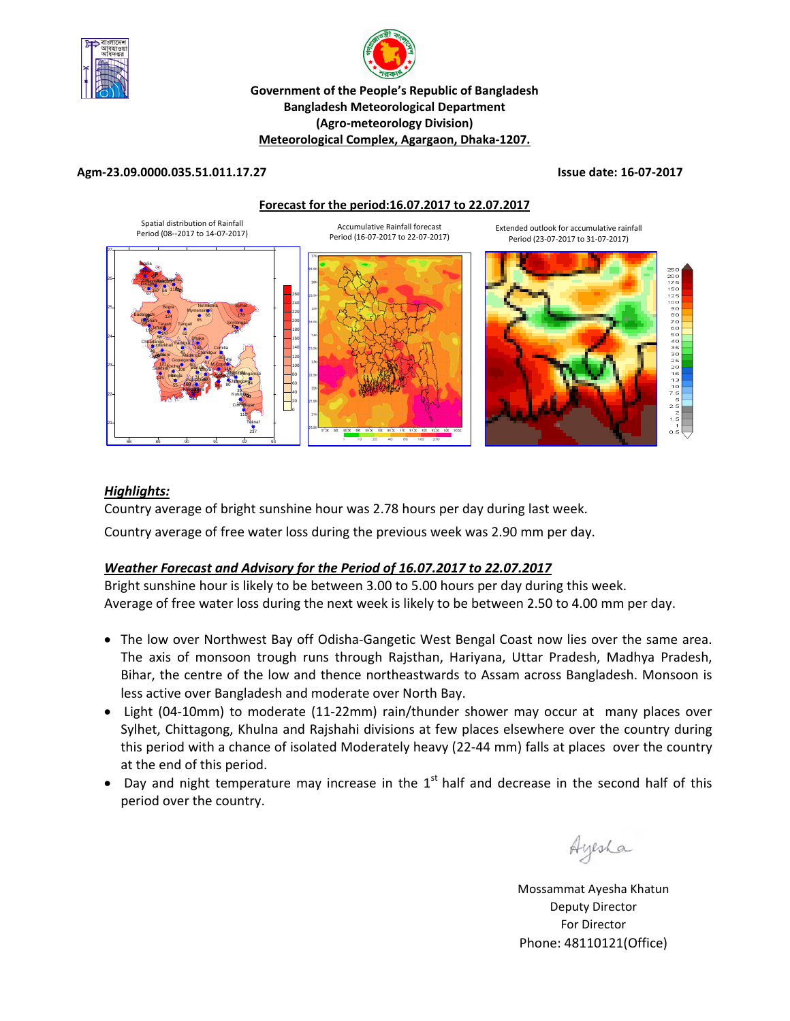



#### **Government of the People's Republic of Bangladesh Bangladesh Meteorological Department (Agro‐meteorology Division) Meteorological Complex, Agargaon, Dhaka‐1207.**

#### **Agm‐23.09.0000.035.51.011.17.27 Issue date: 16‐07‐2017**

**Forecast for the period:16.07.2017 to 22.07.2017**



#### *Highlights:*

Country average of bright sunshine hour was 2.78 hours per day during last week. Country average of free water loss during the previous week was 2.90 mm per day.

#### *Weather Forecast and Advisory for the Period of 16.07.2017 to 22.07.2017*

Bright sunshine hour is likely to be between 3.00 to 5.00 hours per day during this week. Average of free water loss during the next week is likely to be between 2.50 to 4.00 mm per day.

- The low over Northwest Bay off Odisha-Gangetic West Bengal Coast now lies over the same area. The axis of monsoon trough runs through Rajsthan, Hariyana, Uttar Pradesh, Madhya Pradesh, Bihar, the centre of the low and thence northeastwards to Assam across Bangladesh. Monsoon is less active over Bangladesh and moderate over North Bay.
- Light (04-10mm) to moderate (11-22mm) rain/thunder shower may occur at many places over Sylhet, Chittagong, Khulna and Rajshahi divisions at few places elsewhere over the country during this period with a chance of isolated Moderately heavy (22‐44 mm) falls at places over the country at the end of this period.
- Day and night temperature may increase in the  $1<sup>st</sup>$  half and decrease in the second half of this period over the country.

Ayesha

Mossammat Ayesha Khatun Deputy Director For Director Phone: 48110121(Office)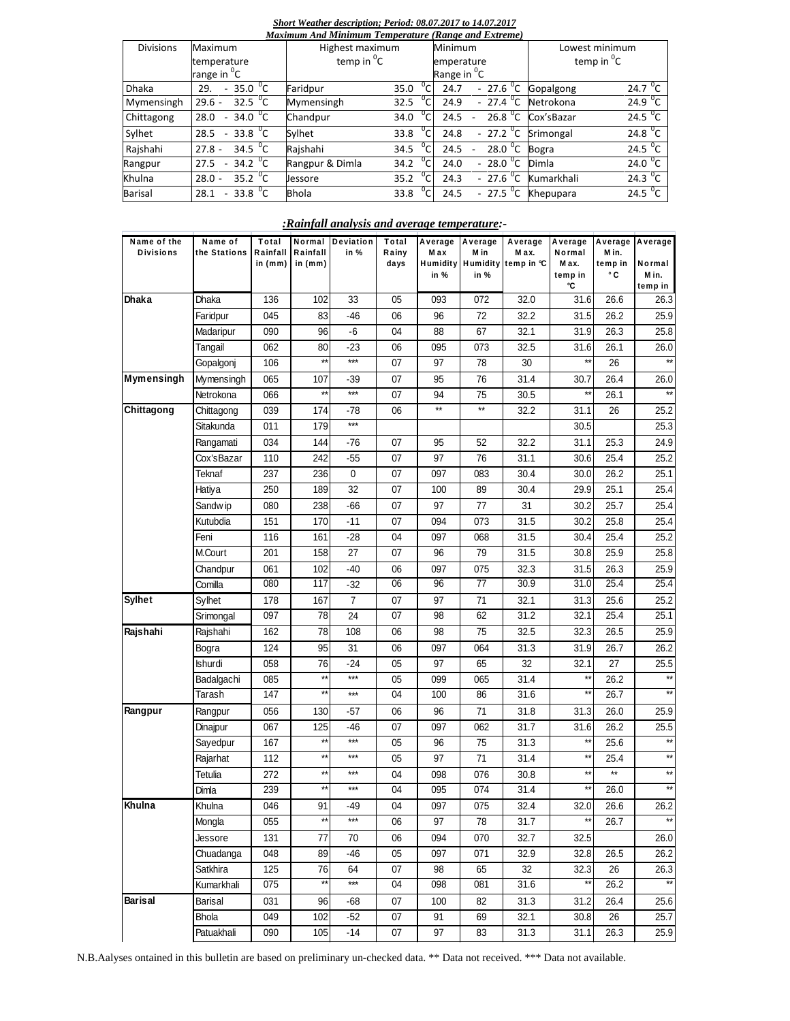#### *Short Weather description; Period: 08.07.2017 to 14.07.2017*

| Maximum And Minimum Temperature (Range and Extreme) |                                                   |                 |                                 |                                  |                        |                   |                     |  |  |  |  |  |
|-----------------------------------------------------|---------------------------------------------------|-----------------|---------------------------------|----------------------------------|------------------------|-------------------|---------------------|--|--|--|--|--|
| <b>Divisions</b>                                    | Maximum                                           |                 | Minimum<br>Highest maximum      |                                  |                        | Lowest minimum    |                     |  |  |  |  |  |
|                                                     | temperature                                       |                 | temp in ${}^{0}C$<br>emperature |                                  |                        | temp in ${}^{0}C$ |                     |  |  |  |  |  |
|                                                     | range in <sup>0</sup> C                           |                 |                                 | Range in <sup>0</sup> C          |                        |                   |                     |  |  |  |  |  |
| <b>Dhaka</b>                                        | $-35.0 \, \text{°C}$<br>29.                       | Faridpur        | 35.0                            | 24.7                             | $-27.6 °C$             | Gopalgong         | 24.7 $\overline{C}$ |  |  |  |  |  |
| Mymensingh                                          | 32.5 $^{\circ}$ C<br>$29.6 -$                     | Mymensingh      | 32.5                            | 24.9                             | $-27.4\ ^{0}C$         | Netrokona         | 24.9 $^{\circ}$ C   |  |  |  |  |  |
| Chittagong                                          | $-34.0 \, \text{°C}$<br>28.0                      | Chandpur        | 34.0                            | 24.5<br>$\overline{\phantom{a}}$ | 26.8 $^{\circ}$ C      | Cox'sBazar        | 24.5 $^{\circ}$ C   |  |  |  |  |  |
| Sylhet                                              | 33.8 $^{0}$ C<br>28.5<br>$\overline{\phantom{a}}$ | Sylhet          | 33.8                            | 24.8                             | $-27.2$ <sup>o</sup> C | Srimongal         | $24.8\text{ °C}$    |  |  |  |  |  |
| Rajshahi                                            | 34.5 $^{0}C$<br>$27.8 -$                          | Rajshahi        | 34.5                            | 24.5                             | 28.0 $\degree$ C       | <b>Bogra</b>      | 24.5 $\mathrm{^0C}$ |  |  |  |  |  |
| Rangpur                                             | $34.2^{0}C$<br>27.5                               | Rangpur & Dimla | 34.2                            | 24.0                             | 28.0 $\degree$ C       | Dimla             | 24.0 <sup>0</sup> C |  |  |  |  |  |
| Khulna                                              | 35.2 $\mathrm{^0C}$<br>$28.0 -$                   | Jessore         | 35.2                            | 24.3                             | $-27.6 °C$             | Kumarkhali        | 24.3 $\sqrt[6]{C}$  |  |  |  |  |  |
| <b>Barisal</b>                                      | 33.8 $^{\circ}$ C<br>28.1<br>$\sim$               | <b>Bhola</b>    | 33.8                            | 24.5                             | $-27.5\text{ °C}$      | Khepupara         | 24.5 $^{\circ}$ C   |  |  |  |  |  |

#### *:Rainfall analysis and average temperature:-*

| Name of the<br><b>Divisions</b> | Name of<br>the Stations | Total<br>Rainfall<br>in $(mm)$ | Normal<br>Rainfall<br>in (mm) | Deviation<br>in % | Total<br>Rainy<br>days | Average<br>M ax<br>in % | Average<br>M in<br>in % | Average<br>M ax.<br>Humidity Humidity temp in °C | Average<br>Normal<br>Max.<br>temp in<br>°C | M in.<br>temp in<br>۰c | Average Average<br>Normal<br>Min.<br>temp in |
|---------------------------------|-------------------------|--------------------------------|-------------------------------|-------------------|------------------------|-------------------------|-------------------------|--------------------------------------------------|--------------------------------------------|------------------------|----------------------------------------------|
| Dhaka                           | Dhaka                   | 136                            | 102                           | 33                | 05                     | 093                     | 072                     | 32.0                                             | 31.6                                       | 26.6                   | 26.3                                         |
|                                 | Faridpur                | 045                            | 83                            | -46               | 06                     | 96                      | 72                      | 32.2                                             | 31.5                                       | 26.2                   | 25.9                                         |
|                                 | Madaripur               | 090                            | 96                            | -6                | 04                     | 88                      | 67                      | 32.1                                             | 31.9                                       | 26.3                   | 25.8                                         |
|                                 | Tangail                 | 062                            | 80                            | -23               | 06                     | 095                     | 073                     | 32.5                                             | 31.6                                       | 26.1                   | 26.0                                         |
|                                 | Gopalgonj               | 106                            | $\star\star$                  | $***$             | 07                     | 97                      | 78                      | 30                                               | $\star\star$                               | 26                     | $\star\star$                                 |
| Mymensingh                      | Mymensingh              | 065                            | 107                           | -39               | 07                     | 95                      | 76                      | 31.4                                             | 30.7                                       | 26.4                   | 26.0                                         |
|                                 | Netrokona               | 066                            | $\star\star$                  | $***$             | 07                     | 94                      | 75                      | 30.5                                             | $\star\star$                               | 26.1                   | $\star\star$                                 |
| Chittagong                      | Chittagong              | 039                            | 174                           | $-78$             | 06                     | $^{\star\star}$         | $\star\star$            | 32.2                                             | 31.1                                       | 26                     | 25.2                                         |
|                                 | Sitakunda               | 011                            | 179                           | ***               |                        |                         |                         |                                                  | 30.5                                       |                        | 25.3                                         |
|                                 | Rangamati               | 034                            | 144                           | -76               | 07                     | 95                      | 52                      | 32.2                                             | 31.1                                       | 25.3                   | 24.9                                         |
|                                 | Cox'sBazar              | 110                            | 242                           | $-55$             | 07                     | 97                      | 76                      | 31.1                                             | 30.6                                       | 25.4                   | 25.2                                         |
|                                 | Teknaf                  | 237                            | 236                           | 0                 | 07                     | 097                     | 083                     | 30.4                                             | 30.0                                       | 26.2                   | 25.1                                         |
|                                 | Hatiya                  | 250                            | 189                           | 32                | 07                     | 100                     | 89                      | 30.4                                             | 29.9                                       | 25.1                   | 25.4                                         |
|                                 | Sandw ip                | 080                            | 238                           | -66               | 07                     | 97                      | 77                      | 31                                               | 30.2                                       | 25.7                   | 25.4                                         |
|                                 | Kutubdia                | 151                            | 170                           | -11               | 07                     | 094                     | 073                     | 31.5                                             | 30.2                                       | 25.8                   | 25.4                                         |
|                                 | Feni                    | 116                            | 161                           | -28               | 04                     | 097                     | 068                     | 31.5                                             | 30.4                                       | 25.4                   | 25.2                                         |
|                                 | M.Court                 | 201                            | 158                           | 27                | 07                     | 96                      | 79                      | 31.5                                             | 30.8                                       | 25.9                   | 25.8                                         |
|                                 | Chandpur                | 061                            | 102                           | -40               | 06                     | 097                     | 075                     | 32.3                                             | 31.5                                       | 26.3                   | 25.9                                         |
|                                 | Comilla                 | 080                            | 117                           | $-32$             | 06                     | 96                      | $77 \,$                 | 30.9                                             | 31.0                                       | 25.4                   | 25.4                                         |
| <b>Sylhet</b>                   | Sylhet                  | 178                            | 167                           | $\overline{7}$    | 07                     | 97                      | 71                      | 32.1                                             | 31.3                                       | 25.6                   | 25.2                                         |
|                                 | Srimongal               | 097                            | 78                            | 24                | 07                     | 98                      | 62                      | 31.2                                             | 32.1                                       | 25.4                   | 25.1                                         |
| Rajshahi                        | Rajshahi                | 162                            | 78                            | 108               | 06                     | 98                      | 75                      | 32.5                                             | 32.3                                       | 26.5                   | 25.9                                         |
|                                 | Bogra                   | 124                            | 95                            | 31                | 06                     | 097                     | 064                     | 31.3                                             | 31.9                                       | 26.7                   | 26.2                                         |
|                                 | Ishurdi                 | 058                            | 76                            | -24               | 05                     | 97                      | 65                      | 32                                               | 32.1                                       | 27                     | 25.5                                         |
|                                 | Badalgachi              | 085                            | $\star\star$                  | $***$             | 05                     | 099                     | 065                     | 31.4                                             | $\star\star$                               | 26.2                   |                                              |
|                                 | Tarash                  | 147                            | $\star\star$                  | $***$             | 04                     | 100                     | 86                      | 31.6                                             | $\star\star$                               | 26.7                   | $^{\star\star}$                              |
| Rangpur                         | Rangpur                 | 056                            | 130                           | -57               | 06                     | 96                      | 71                      | 31.8                                             | 31.3                                       | 26.0                   | 25.9                                         |
|                                 | Dinajpur                | 067                            | 125                           | -46               | 07                     | 097                     | 062                     | 31.7                                             | 31.6                                       | 26.2                   | 25.5                                         |
|                                 | Sayedpur                | 167                            | $\star\star$                  | $***$             | 05                     | 96                      | 75                      | 31.3                                             | **                                         | 25.6                   | $\star\star$                                 |
|                                 | Rajarhat                | 112                            | $\star\star$                  | ***               | 05                     | 97                      | 71                      | 31.4                                             | **                                         | 25.4                   | $\star\star$                                 |
|                                 | Tetulia                 | 272                            | $\star\star$                  | ***               | 04                     | 098                     | 076                     | 30.8                                             | $\star\star$                               | $\star\star$           | $\star\star$                                 |
|                                 | Dimla                   | 239                            | $\star\star$                  | ***               | 04                     | 095                     | 074                     | 31.4                                             | $\star\star$                               | 26.0                   |                                              |
| Khulna                          | Khulna                  | 046                            | 91                            | -49               | 04                     | 097                     | 075                     | 32.4                                             | 32.0                                       | 26.6                   | 26.2                                         |
|                                 | Mongla                  | 055                            | $\star\star$                  | $***$             | 06                     | 97                      | 78                      | 31.7                                             | $\star\star$                               | 26.7                   | $\star\star$                                 |
|                                 | Jessore                 | 131                            | 77                            | 70                | 06                     | 094                     | 070                     | 32.7                                             | 32.5                                       |                        | 26.0                                         |
|                                 | Chuadanga               | 048                            | 89                            | -46               | 05                     | 097                     | 071                     | 32.9                                             | 32.8                                       | 26.5                   | 26.2                                         |
|                                 | Satkhira                | 125                            | 76                            | 64                | 07                     | 98                      | 65                      | 32                                               | 32.3                                       | 26                     | 26.3                                         |
|                                 | Kumarkhali              | 075                            | $\star\star$                  | $***$             | 04                     | 098                     | 081                     | 31.6                                             | $^{\star\star}$                            | 26.2                   | $***$                                        |
| Barisal                         | Barisal                 | 031                            | 96                            | -68               | 07                     | 100                     | 82                      | 31.3                                             | 31.2                                       | 26.4                   | 25.6                                         |
|                                 | <b>Bhola</b>            | 049                            | 102                           | $-52$             | 07                     | 91                      | 69                      | 32.1                                             | 30.8                                       | 26                     | 25.7                                         |
|                                 | Patuakhali              | 090                            | 105                           | $-14$             | 07                     | 97                      | 83                      | 31.3                                             | 31.1                                       | 26.3                   | 25.9                                         |

N.B.Aalyses ontained in this bulletin are based on preliminary un-checked data. \*\* Data not received. \*\*\* Data not available.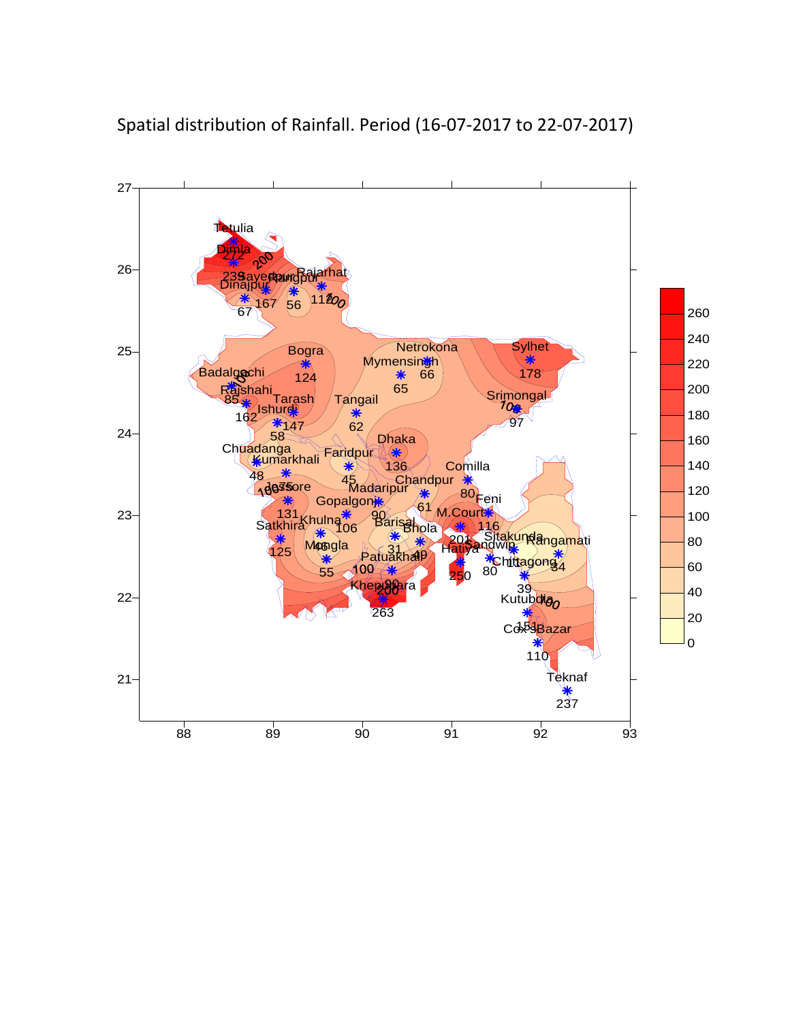

Spatial distribution of Rainfall. Period (16‐07‐2017 to 22‐07‐2017)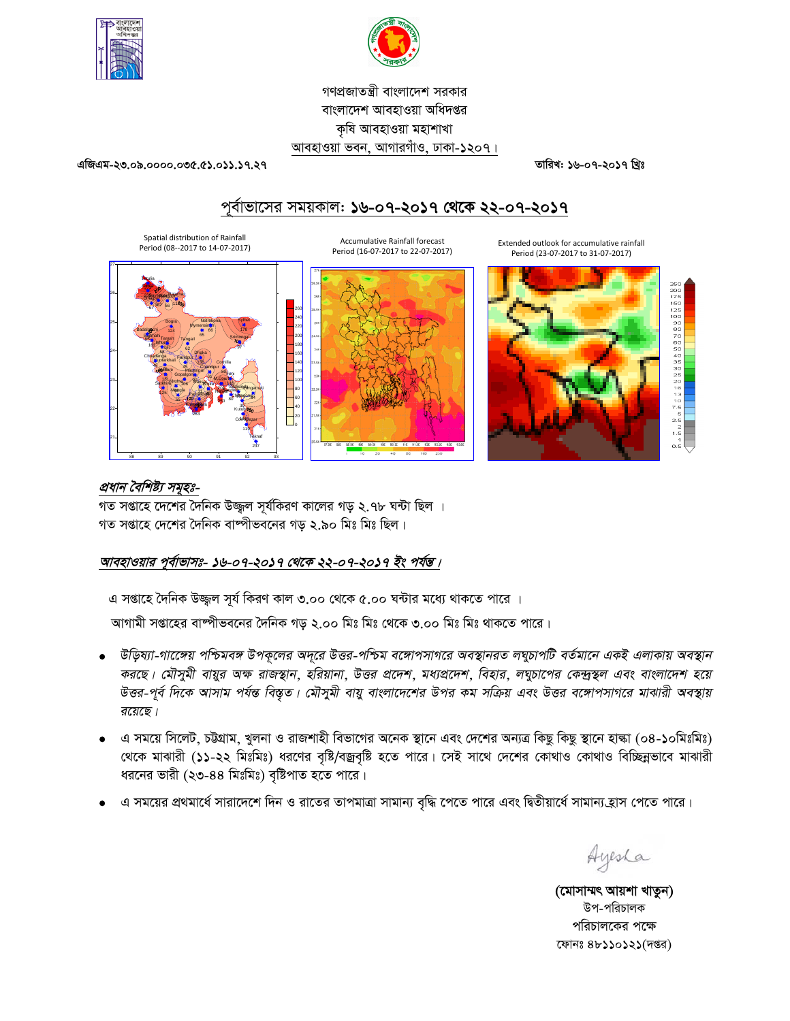



গণপ্রজাতন্ত্রী বাংলাদেশ সরকার বাংলাদেশ আবহাওয়া অধিদপ্তর কষি আবহাওয়া মহাশাখা আবহাওয়া ভবন, আগারগাঁও, ঢাকা-১২০৭।

এজিএম-২৩.০৯.০০০০.০৩৫.৫১.০১১.১৭.২৭

তারিখ: ১৬-০৭-২০১৭ খ্রিঃ

# পূর্বাভাসের সময়কাল: ১৬-০৭-২০১৭ থেকে ২২-০৭-২০১৭



#### প্রধান বৈশিষ্ট্য সমূহঃ-

গত সপ্তাহে দেশের দৈনিক উজ্জল সূর্যকিরণ কালের গড় ২.৭৮ ঘন্টা ছিল । গত সপ্তাহে দেশের দৈনিক বাষ্পীভবনের গড় ২.৯০ মিঃ মিঃ ছিল।

#### আবহাওয়ার পূর্বাভাসঃ- ১৬-০৭-২০১৭ থেকে ২২-০৭-২০১৭ ইং পর্যন্ত।

এ সপ্তাহে দৈনিক উজ্জ্বল সূর্য কিরণ কাল ৩.০০ থেকে ৫.০০ ঘন্টার মধ্যে থাকতে পারে ।

আগামী সপ্তাহের বাষ্পীভবনের দৈনিক গড় ২.০০ মিঃ মিঃ থেকে ৩.০০ মিঃ মিঃ থাকতে পারে।

- উড়িষ্যা-গাক্ষেয় পশ্চিমবঙ্গ উপকূলের অদূরে উত্তর-পশ্চিম বঙ্গোপসাগরে অবস্থানরত লঘুচাপটি বর্তমানে একই এলাকায় অবস্থান করছে। মৌসুমী বায়ুর অক্ষ রাজস্থান, হরিয়ানা, উত্তর প্রদেশ, মধ্যপ্রদেশ, বিহার, লঘুচাপের কেন্দ্রস্থল এবং বাংলাদেশ হয়ে উত্তর-পূর্ব দিকে আসাম পর্যন্ত বিস্তৃত। মৌসুমী বায়ু বাংলাদেশের উপর কম সক্রিয় এবং উত্তর বঙ্গোপসাগরে মাঝারী অবস্থায় রয়েছে।
- এ সময়ে সিলেট, চট্টগ্রাম, খুলনা ও রাজশাহী বিভাগের অনেক স্থানে এবং দেশের অন্যত্র কিছু কিছু স্থানে হাঙ্কা (০৪-১০মিঃমিঃ) থেকে মাঝারী (১১-২২ মিঃমিঃ) ধরণের বৃষ্টি/বজ্রবৃষ্টি হতে পারে। সেই সাথে দেশের কোথাও কোথাও বিচ্ছিন্নভাবে মাঝারী ধরনের ভারী (২৩-৪৪ মিঃমিঃ) বৃষ্টিপাত হতে পারে।
- এ সময়ের প্রথমার্ধে সারাদেশে দিন ও রাতের তাপমাত্রা সামান্য বৃদ্ধি পেতে পারে এবং দ্বিতীয়ার্ধে সামান্য হ্রাস পেতে পারে।

Ayesha

(মোসাম্মৎ আয়শা খাতুন) উপ-পরিচালক পরিচালকের পক্ষে ফোনঃ ৪৮১১০১২১(দপ্তর)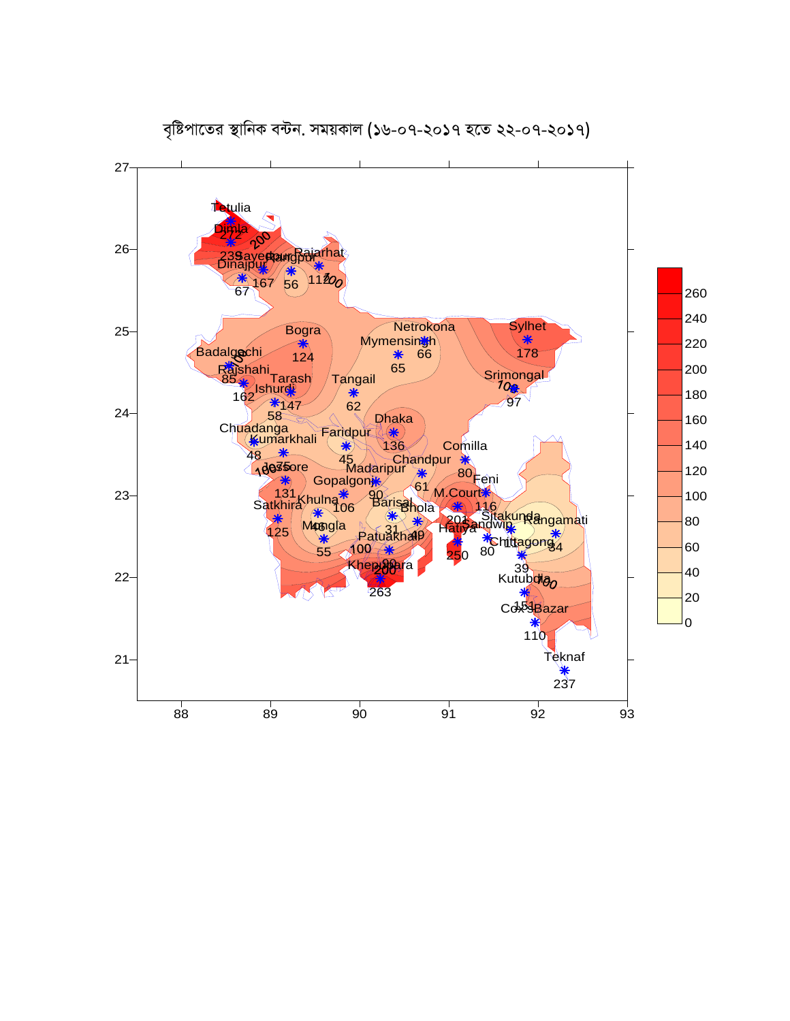

বৃষ্টিপাতের স্থানিক বন্টন. সময়কাল (১৬-০৭-২০১৭ হতে ২২-০৭-২০১৭)